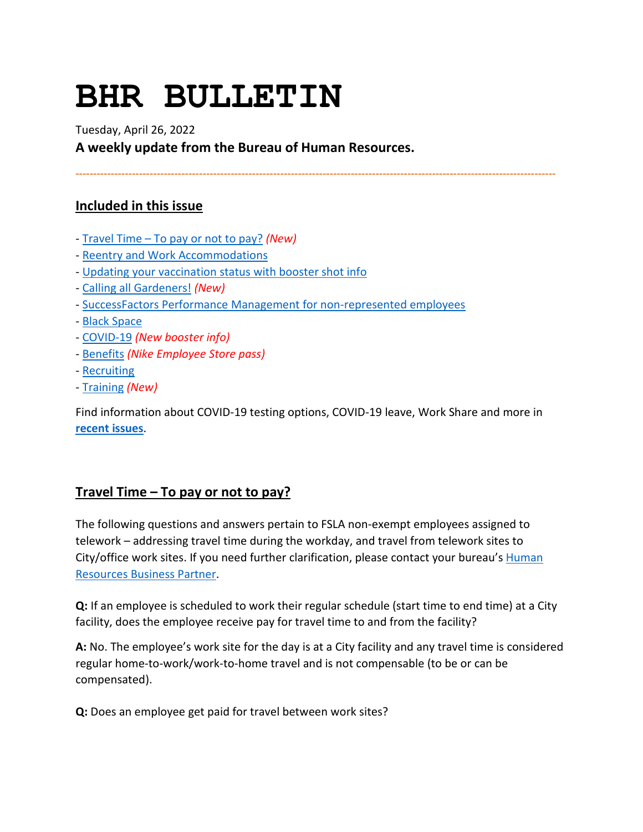# **BHR BULLETIN**

Tuesday, April 26, 2022

**A weekly update from the Bureau of Human Resources.**

**----------------------------------------------------------------------------------------------------------------------------------------**

# **Included in this issue**

- - [Travel Time To pay or not to pay?](#page-0-0) *(New)*
- - [Reentry and Work Accommodations](#page-2-0)
- - [Updating your vaccination status with booster shot info](#page-2-1)
- - [Calling all Gardeners!](#page-3-0) *(New)*
- - [SuccessFactors Performance Management for non-represented employees](#page-3-1)
- - [Black Space](#page-4-0)
- - [COVID-19](#page-5-0) *(New booster info)*
- - [Benefits](#page-6-0) *(Nike Employee Store pass)*
- - [Recruiting](#page-8-0)
- - [Training](#page-8-1) *(New)*

Find information about COVID-19 testing options, COVID-19 leave, Work Share and more in **[recent issues](https://www.portlandoregon.gov/bhr/81102)**.

# <span id="page-0-0"></span>**Travel Time – To pay or not to pay?**

The following questions and answers pertain to FSLA non-exempt employees assigned to telework – addressing travel time during the workday, and travel from telework sites to City/office work sites. If you need further clarification, please contact your bureau's **Human** [Resources Business Partner.](https://employees.portland.gov/human-resources/employee-relations/hrbp-bureau-assignments)

**Q:** If an employee is scheduled to work their regular schedule (start time to end time) at a City facility, does the employee receive pay for travel time to and from the facility?

**A:** No. The employee's work site for the day is at a City facility and any travel time is considered regular home-to-work/work-to-home travel and is not compensable (to be or can be compensated).

**Q:** Does an employee get paid for travel between work sites?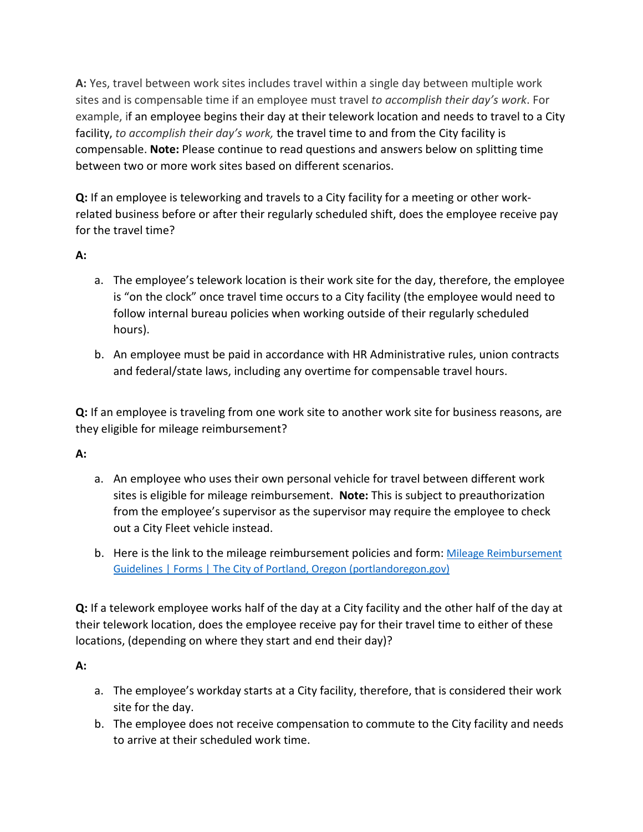**A:** Yes, travel between work sites includes travel within a single day between multiple work sites and is compensable time if an employee must travel *to accomplish their day's work*. For example, if an employee begins their day at their telework location and needs to travel to a City facility, *to accomplish their day's work,* the travel time to and from the City facility is compensable. **Note:** Please continue to read questions and answers below on splitting time between two or more work sites based on different scenarios.

**Q:** If an employee is teleworking and travels to a City facility for a meeting or other workrelated business before or after their regularly scheduled shift, does the employee receive pay for the travel time?

**A:**

- a. The employee's telework location is their work site for the day, therefore, the employee is "on the clock" once travel time occurs to a City facility (the employee would need to follow internal bureau policies when working outside of their regularly scheduled hours).
- b. An employee must be paid in accordance with HR Administrative rules, union contracts and federal/state laws, including any overtime for compensable travel hours.

**Q:** If an employee is traveling from one work site to another work site for business reasons, are they eligible for mileage reimbursement?

## **A:**

- a. An employee who uses their own personal vehicle for travel between different work sites is eligible for mileage reimbursement. **Note:** This is subject to preauthorization from the employee's supervisor as the supervisor may require the employee to check out a City Fleet vehicle instead.
- b. Here is the link to the mileage reimbursement policies and form: Mileage Reimbursement [Guidelines | Forms | The City of Portland, Oregon \(portlandoregon.gov\)](https://www.portlandoregon.gov/revenue/index.cfm?&a=481636)

**Q:** If a telework employee works half of the day at a City facility and the other half of the day at their telework location, does the employee receive pay for their travel time to either of these locations, (depending on where they start and end their day)?

**A:**

- a. The employee's workday starts at a City facility, therefore, that is considered their work site for the day.
- b. The employee does not receive compensation to commute to the City facility and needs to arrive at their scheduled work time.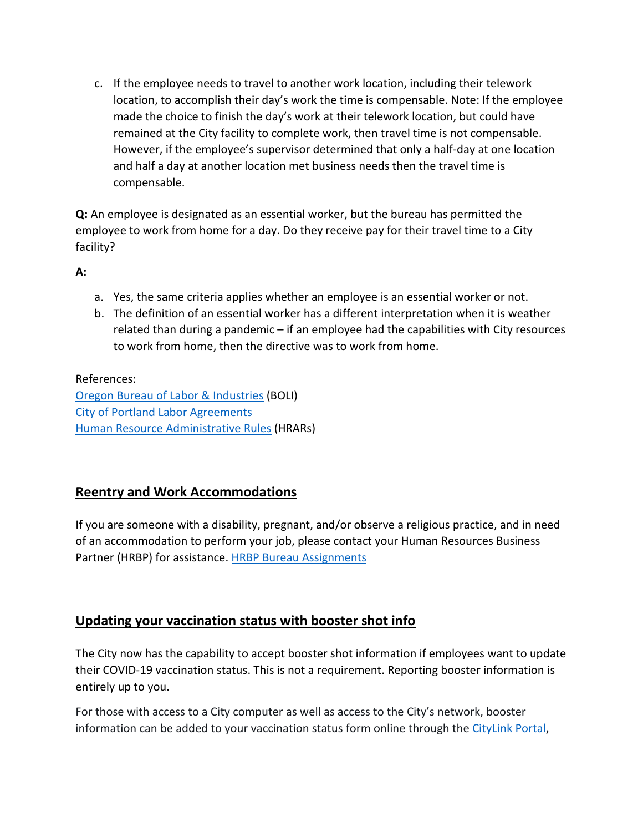c. If the employee needs to travel to another work location, including their telework location, to accomplish their day's work the time is compensable. Note: If the employee made the choice to finish the day's work at their telework location, but could have remained at the City facility to complete work, then travel time is not compensable. However, if the employee's supervisor determined that only a half-day at one location and half a day at another location met business needs then the travel time is compensable.

**Q:** An employee is designated as an essential worker, but the bureau has permitted the employee to work from home for a day. Do they receive pay for their travel time to a City facility?

**A:**

- a. Yes, the same criteria applies whether an employee is an essential worker or not.
- b. The definition of an essential worker has a different interpretation when it is weather related than during a pandemic – if an employee had the capabilities with City resources to work from home, then the directive was to work from home.

References: [Oregon Bureau of Labor & Industries](https://www.oregon.gov/boli/workers/Pages/travel-time-mileage.aspx) (BOLI) [City of Portland Labor Agreements](https://www.portland.gov/bhr/employee-relations/labor-relations/labor-agreements) [Human Resource Administrative Rules](https://www.portland.gov/bhr/employee-relations/administrative-rules) (HRARs)

# <span id="page-2-0"></span>**Reentry and Work Accommodations**

If you are someone with a disability, pregnant, and/or observe a religious practice, and in need of an accommodation to perform your job, please contact your Human Resources Business Partner (HRBP) for assistance. [HRBP Bureau Assignments](https://www.portlandoregon.gov/bhr/article/430513)

# <span id="page-2-1"></span>**Updating your vaccination status with booster shot info**

The City now has the capability to accept booster shot information if employees want to update their COVID-19 vaccination status. This is not a requirement. Reporting booster information is entirely up to you.

For those with access to a City computer as well as access to the City's network, booster information can be added to your vaccination status form online through th[e CityLink Portal,](https://www.portlandoregon.gov/employee/50542)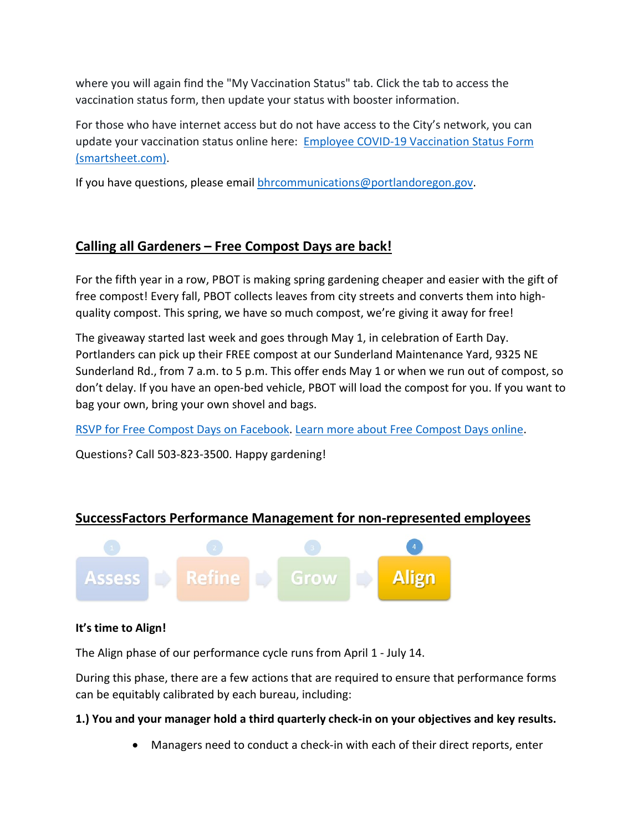where you will again find the "My Vaccination Status" tab. Click the tab to access the vaccination status form, then update your status with booster information.

For those who have internet access but do not have access to the City's network, you can update your vaccination status online here: [Employee COVID-19 Vaccination Status Form](https://app.smartsheet.com/b/form/1630264465a1445bae728de4615f96a7)  [\(smartsheet.com\).](https://app.smartsheet.com/b/form/1630264465a1445bae728de4615f96a7)

If you have questions, please email [bhrcommunications@portlandoregon.gov.](mailto:bhrcommunications@portlandoregon.gov)

# <span id="page-3-0"></span>**Calling all Gardeners – Free Compost Days are back!**

For the fifth year in a row, PBOT is making spring gardening cheaper and easier with the gift of free compost! Every fall, PBOT collects leaves from city streets and converts them into highquality compost. This spring, we have so much compost, we're giving it away for free!

The giveaway started last week and goes through May 1, in celebration of Earth Day. Portlanders can pick up their FREE compost at our Sunderland Maintenance Yard, 9325 NE Sunderland Rd., from 7 a.m. to 5 p.m. This offer ends May 1 or when we run out of compost, so don't delay. If you have an open-bed vehicle, PBOT will load the compost for you. If you want to bag your own, bring your own shovel and bags.

[RSVP for Free Compost Days on Facebook.](https://www.facebook.com/events/944836319562568/944844456228421?active_tab=about&utm_medium=email&utm_source=govdelivery) [Learn more about Free Compost Days online.](https://www.portland.gov/transportation/events/2022/4/22/free-compost-days)

Questions? Call 503-823-3500. Happy gardening!

# <span id="page-3-1"></span>**SuccessFactors Performance Management for non-represented employees**



#### **It's time to Align!**

The Align phase of our performance cycle runs from April 1 - July 14.

During this phase, there are a few actions that are required to ensure that performance forms can be equitably calibrated by each bureau, including:

## **1.) You and your manager hold a third quarterly check-in on your objectives and key results.**

• Managers need to conduct a check-in with each of their direct reports, enter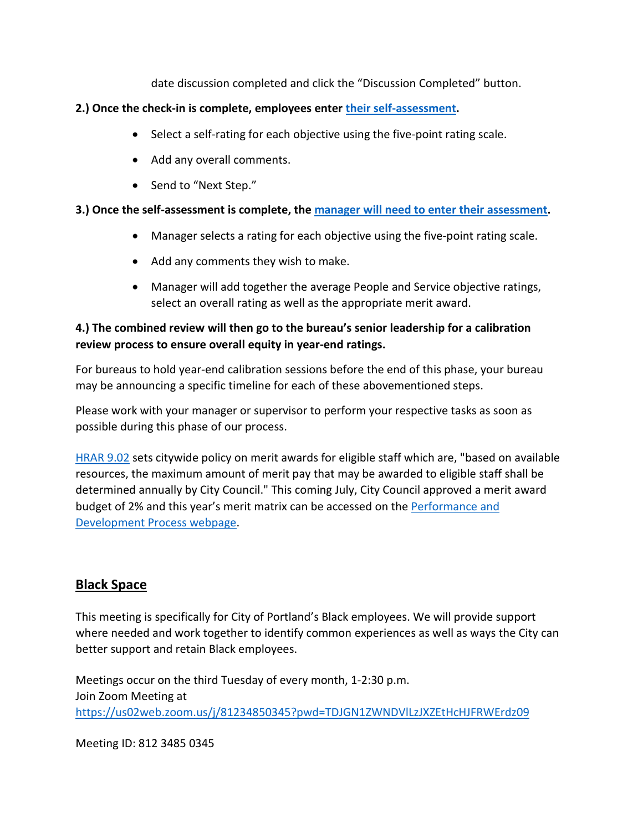date discussion completed and click the "Discussion Completed" button.

#### **2.) Once the check-in is complete, employees enter [their self-assessment.](https://www.youtube.com/watch?v=tNG9-r8GYZ0)**

- Select a self-rating for each objective using the five-point rating scale.
- Add any overall comments.
- Send to "Next Step."

## **3.) Once the self-assessment is complete, the [manager will need to enter their assessment.](https://www.youtube.com/watch?v=IGGClEgPQTU)**

- Manager selects a rating for each objective using the five-point rating scale.
- Add any comments they wish to make.
- Manager will add together the average People and Service objective ratings, select an overall rating as well as the appropriate merit award.

## **4.) The combined review will then go to the bureau's senior leadership for a calibration review process to ensure overall equity in year-end ratings.**

For bureaus to hold year-end calibration sessions before the end of this phase, your bureau may be announcing a specific timeline for each of these abovementioned steps.

Please work with your manager or supervisor to perform your respective tasks as soon as possible during this phase of our process.

[HRAR 9.02](https://www.portland.gov/sites/default/files/2020-06/9.02-performance-management_0.pdf) sets citywide policy on merit awards for eligible staff which are, "based on available resources, the maximum amount of merit pay that may be awarded to eligible staff shall be determined annually by City Council." This coming July, City Council approved a merit award budget of 2% and this year's merit matrix can be accessed on the [Performance and](https://www.portlandoregon.gov/bhr/article/799199)  [Development Process webpage.](https://www.portlandoregon.gov/bhr/article/799199)

# <span id="page-4-0"></span>**Black Space**

This meeting is specifically for City of Portland's Black employees. We will provide support where needed and work together to identify common experiences as well as ways the City can better support and retain Black employees.

Meetings occur on the third Tuesday of every month, 1-2:30 p.m. Join Zoom Meeting at <https://us02web.zoom.us/j/81234850345?pwd=TDJGN1ZWNDVlLzJXZEtHcHJFRWErdz09>

Meeting ID: 812 3485 0345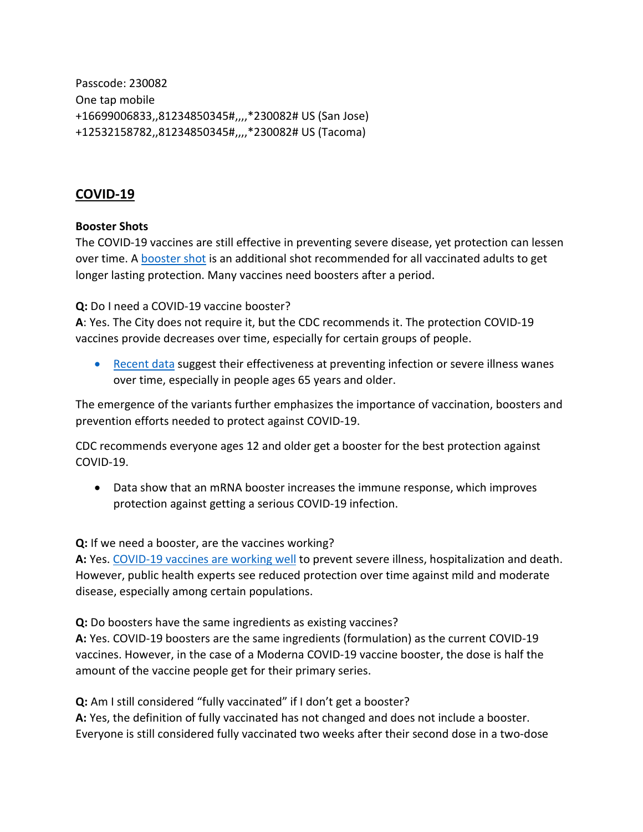Passcode: 230082 One tap mobile +16699006833,,81234850345#,,,,\*230082# US (San Jose) +12532158782,,81234850345#,,,,\*230082# US (Tacoma)

## <span id="page-5-0"></span>**COVID-19**

#### **Booster Shots**

The COVID-19 vaccines are still effective in preventing severe disease, yet protection can lessen over time. A [booster shot](https://www.cdc.gov/coronavirus/2019-ncov/vaccines/booster-shot.html) is an additional shot recommended for all vaccinated adults to get longer lasting protection. Many vaccines need boosters after a period.

**Q:** Do I need a COVID-19 vaccine booster?

**A**: Yes. The City does not require it, but the CDC recommends it. The protection COVID-19 vaccines provide decreases over time, especially for certain groups of people.

• [Recent data](https://www.cdc.gov/vaccines/acip/meetings/downloads/slides-2021-11-19/06-COVID-Oliver-508.pdf) suggest their effectiveness at preventing infection or severe illness wanes over time, especially in people ages 65 years and older.

The emergence of the variants further emphasizes the importance of vaccination, boosters and prevention efforts needed to protect against COVID-19.

CDC recommends everyone ages 12 and older get a booster for the best protection against COVID-19.

• Data show that an mRNA booster increases the immune response, which improves protection against getting a serious COVID-19 infection.

#### **Q:** If we need a booster, are the vaccines working?

**A:** Yes. [COVID-19 vaccines are working well](https://www.cdc.gov/coronavirus/2019-ncov/vaccines/effectiveness/work.html) to prevent severe illness, hospitalization and death. However, public health experts see reduced protection over time against mild and moderate disease, especially among certain populations.

**Q:** Do boosters have the same ingredients as existing vaccines?

**A:** Yes. COVID-19 boosters are the same ingredients (formulation) as the current COVID-19 vaccines. However, in the case of a Moderna COVID-19 vaccine booster, the dose is half the amount of the vaccine people get for their primary series.

**Q:** Am I still considered "fully vaccinated" if I don't get a booster?

**A:** Yes, the definition of fully vaccinated has not changed and does not include a booster. Everyone is still considered fully vaccinated two weeks after their second dose in a two-dose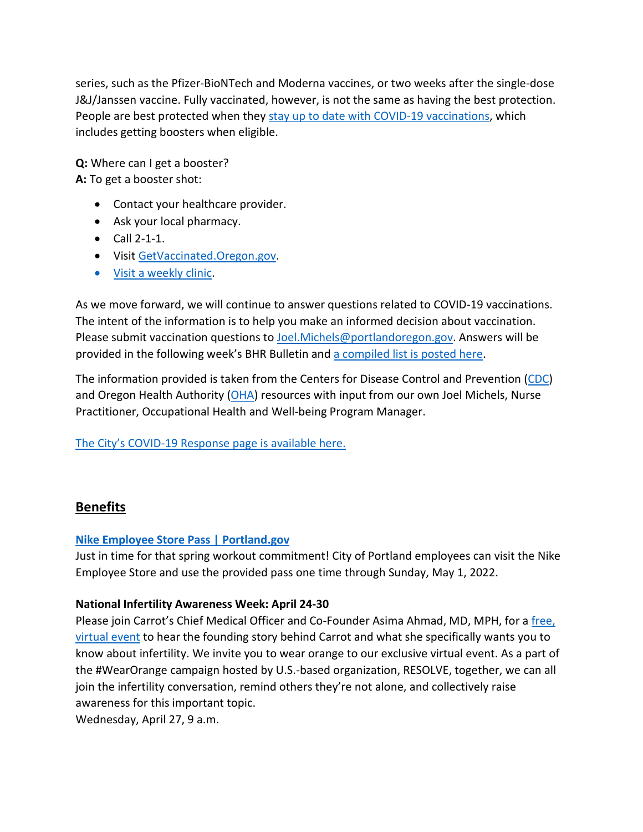series, such as the Pfizer-BioNTech and Moderna vaccines, or two weeks after the single-dose J&J/Janssen vaccine. Fully vaccinated, however, is not the same as having the best protection. People are best protected when they [stay up to date with COVID-19 vaccinations,](https://www.cdc.gov/coronavirus/2019-ncov/vaccines/stay-up-to-date.html) which includes getting boosters when eligible.

**Q:** Where can I get a booster? **A:** To get a booster shot:

- Contact your healthcare provider.
- Ask your local pharmacy.
- Call 2-1-1.
- Visi[t GetVaccinated.Oregon.gov.](https://getvaccinated.oregon.gov/#/)
- [Visit a weekly clinic.](https://www.multco.us/novel-coronavirus-covid-19/upcoming-covid-19-vaccination-clinics)

As we move forward, we will continue to answer questions related to COVID-19 vaccinations. The intent of the information is to help you make an informed decision about vaccination. Please submit vaccination questions to [Joel.Michels@portlandoregon.gov.](mailto:Joel.Michels@portlandoregon.gov) Answers will be provided in the following week's BHR Bulletin an[d a compiled list is posted here.](https://www.portlandoregon.gov/bhr/article/797240)

The information provided is taken from the Centers for Disease Control and Prevention [\(CDC\)](https://www.cdc.gov/coronavirus/2019-ncov/vaccines/index.html) and Oregon Health Authority [\(OHA\)](https://covidvaccine.oregon.gov/) resources with input from our own Joel Michels, Nurse Practitioner, Occupational Health and Well-being Program Manager.

[The City's COVID-19 Response page is available here.](https://www.portlandoregon.gov/bhr/index.cfm?&c=81055)

# <span id="page-6-0"></span>**Benefits**

## **[Nike Employee Store Pass | Portland.gov](https://www.portland.gov/bhr/benefit-offerings/news/2021/10/26/nike-employee-store-pass-0)**

Just in time for that spring workout commitment! City of Portland employees can visit the Nike Employee Store and use the provided pass one time through Sunday, May 1, 2022.

## **National Infertility Awareness Week: April 24-30**

Please join Carrot's Chief Medical Officer and Co-Founder Asima Ahmad, MD, MPH, for a free, [virtual event](https://zoom.us/webinar/register/3016480587110/WN_ILPepDHLTXqroZZ8uAvHkw) to hear the founding story behind Carrot and what she specifically wants you to know about infertility. We invite you to wear orange to our exclusive virtual event. As a part of the #WearOrange campaign hosted by U.S.-based organization, RESOLVE, together, we can all join the infertility conversation, remind others they're not alone, and collectively raise awareness for this important topic.

Wednesday, April 27, 9 a.m.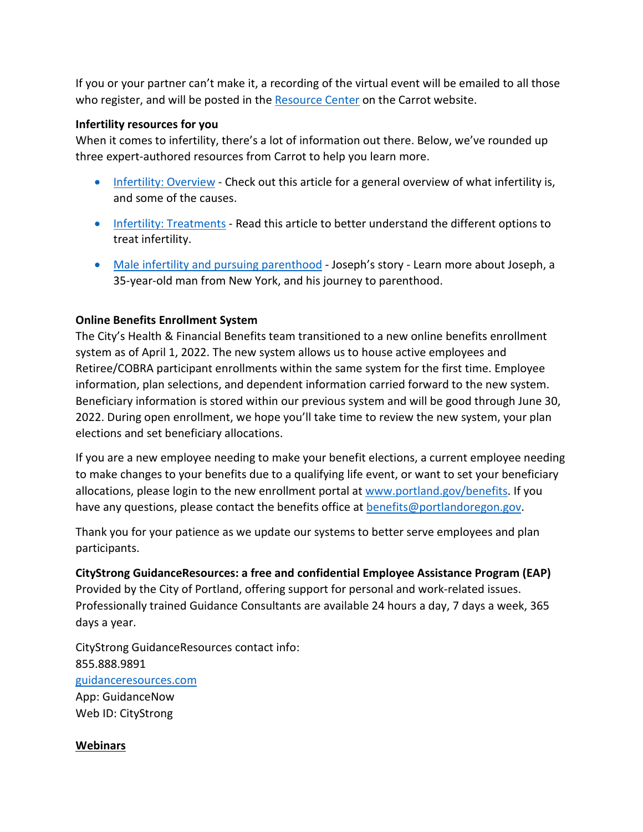If you or your partner can't make it, a recording of the virtual event will be emailed to all those who register, and will be posted in the [Resource Center](https://zoom.us/webinar/register/5016480591516/WN_ILPepDHLTXqroZZ8uAvHkw) on the Carrot website.

#### **Infertility resources for you**

When it comes to infertility, there's a lot of information out there. Below, we've rounded up three expert-authored resources from Carrot to help you learn more.

- [Infertility: Overview](https://app.get-carrot.com/read/Fertility/Infertility:-Overview?utm_medium=email&utm_source=employ&utm_campaign=en_c_ee__apr22__email_&utm_content=infertaware&utm_term=)  Check out this article for a general overview of what infertility is, and some of the causes.
- [Infertility: Treatments](https://app.get-carrot.com/read/Fertility/Infertility:-Treatments?utm_medium=email&utm_source=employ&utm_campaign=en_c_ee__apr22__email_&utm_content=infertaware&utm_term=)  Read this article to better understand the different options to treat infertility.
- [Male infertility and pursuing parenthood](https://www.get-carrot.com/blog/baby-steps-josephs-story)  Joseph's story Learn more about Joseph, a 35-year-old man from New York, and his journey to parenthood.

#### **Online Benefits Enrollment System**

The City's Health & Financial Benefits team transitioned to a new online benefits enrollment system as of April 1, 2022. The new system allows us to house active employees and Retiree/COBRA participant enrollments within the same system for the first time. Employee information, plan selections, and dependent information carried forward to the new system. Beneficiary information is stored within our previous system and will be good through June 30, 2022. During open enrollment, we hope you'll take time to review the new system, your plan elections and set beneficiary allocations.

If you are a new employee needing to make your benefit elections, a current employee needing to make changes to your benefits due to a qualifying life event, or want to set your beneficiary allocations, please login to the new enrollment portal at [www.portland.gov/benefits.](https://www.portland.gov/benefits) If you have any questions, please contact the benefits office at [benefits@portlandoregon.gov.](mailto:benefits@portlandoregon.gov)

Thank you for your patience as we update our systems to better serve employees and plan participants.

**CityStrong GuidanceResources: a free and confidential Employee Assistance Program (EAP)**  Provided by the City of Portland, offering support for personal and work-related issues. Professionally trained Guidance Consultants are available 24 hours a day, 7 days a week, 365 days a year.

CityStrong GuidanceResources contact info: 855.888.9891 [guidanceresources.com](https://www.guidanceresources.com/groWeb/login/login.xhtml) App: GuidanceNow Web ID: CityStrong

#### **Webinars**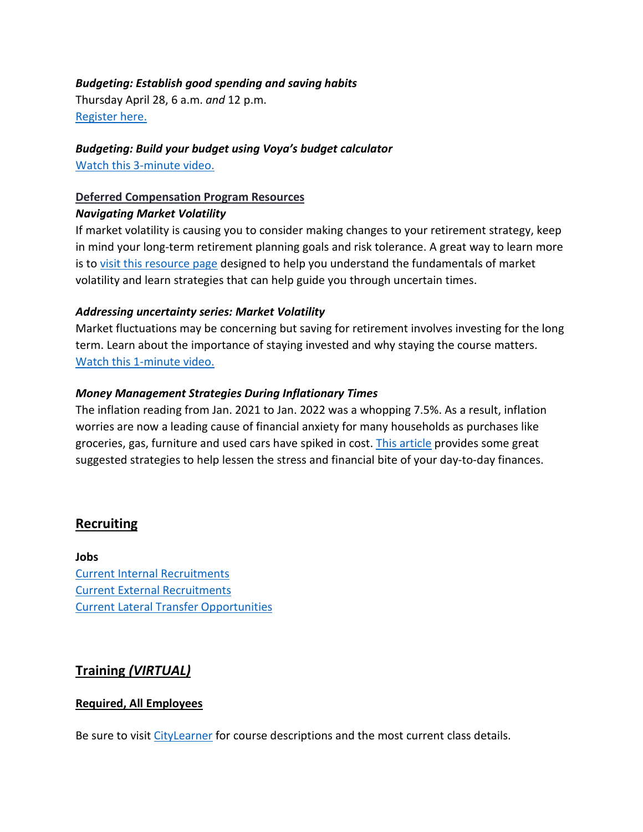#### *Budgeting: Establish good spending and saving habits*

Thursday April 28, 6 a.m. *and* 12 p.m. [Register here.](https://voyafa.zoom.us/webinar/register/WN_jalwtC9vQGa3Bf00BMP-Pw)

*Budgeting: Build your budget using Voya's budget calculator* [Watch this 3-minute video.](https://www.voya.com/page/on-demand/budget-calculator)

#### **Deferred Compensation Program Resources**

#### *Navigating Market Volatility*

If market volatility is causing you to consider making changes to your retirement strategy, keep in mind your long-term retirement planning goals and risk tolerance. A great way to learn more is to [visit this resource page](https://www.voya.com/page/navigating-market-volatility) designed to help you understand the fundamentals of market volatility and learn strategies that can help guide you through uncertain times.

#### *Addressing uncertainty series: Market Volatility*

Market fluctuations may be concerning but saving for retirement involves investing for the long term. Learn about the importance of staying invested and why staying the course matters. [Watch this 1-minute video.](https://www.voya.com/page/on-demand/addressing-uncertainty-series-market-volatility)

#### *Money Management Strategies During Inflationary Times*

The inflation reading from Jan. 2021 to Jan. 2022 was a whopping 7.5%. As a result, inflation worries are now a leading cause of financial anxiety for many households as purchases like groceries, gas, furniture and used cars have spiked in cost. [This article](https://blog.voya.com/financial-decisions/money-management-strategies-during-inflationary-times-nc) provides some great suggested strategies to help lessen the stress and financial bite of your day-to-day finances.

## <span id="page-8-0"></span>**Recruiting**

**Jobs** [Current Internal Recruitments](https://www.governmentjobs.com/careers/portlandor/promotionaljobs) [Current External Recruitments](https://www.governmentjobs.com/careers/portlandor?) [Current Lateral Transfer Opportunities](https://www.governmentjobs.com/careers/portlandor/transferjobs)

# <span id="page-8-1"></span>**Training** *(VIRTUAL)*

#### **Required, All Employees**

Be sure to visit [CityLearner](https://www.portlandoregon.gov/sf) for course descriptions and the most current class details.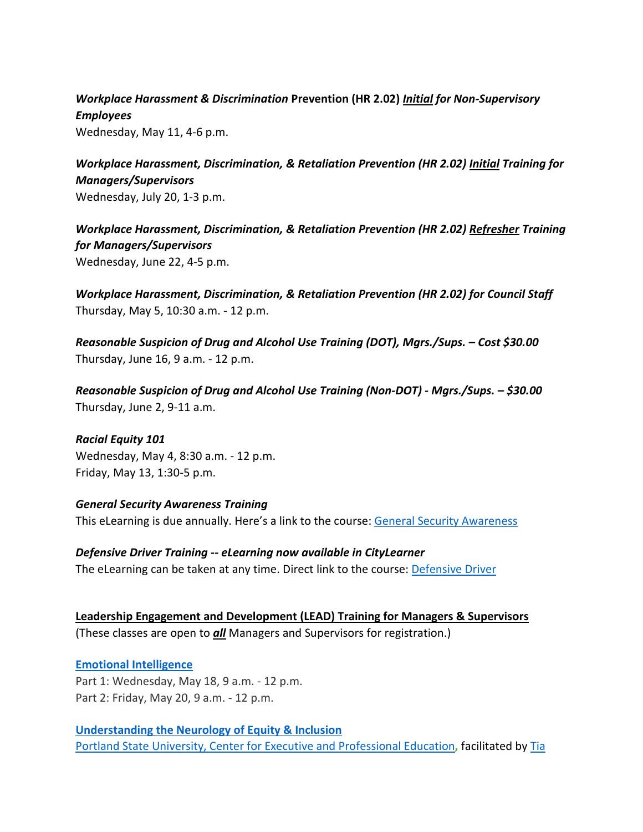# *Workplace Harassment & Discrimination* **Prevention (HR 2.02)** *Initial for Non-Supervisory Employees*

Wednesday, May 11, 4-6 p.m.

*Workplace Harassment, Discrimination, & Retaliation Prevention (HR 2.02) Initial Training for Managers/Supervisors*  Wednesday, July 20, 1-3 p.m.

*Workplace Harassment, Discrimination, & Retaliation Prevention (HR 2.02) Refresher Training for Managers/Supervisors*  Wednesday, June 22, 4-5 p.m.

*Workplace Harassment, Discrimination, & Retaliation Prevention (HR 2.02) for Council Staff* Thursday, May 5, 10:30 a.m. - 12 p.m.

*Reasonable Suspicion of Drug and Alcohol Use Training (DOT), Mgrs./Sups. – Cost \$30.00* Thursday, June 16, 9 a.m. - 12 p.m.

*Reasonable Suspicion of Drug and Alcohol Use Training (Non-DOT) - Mgrs./Sups. – \$30.00* Thursday, June 2, 9-11 a.m.

*Racial Equity 101* Wednesday, May 4, 8:30 a.m. - 12 p.m. Friday, May 13, 1:30-5 p.m.

*General Security Awareness Training* This eLearning is due annually. Here's a link to the course: [General Security Awareness](https://performancemanager4.successfactors.com/sf/learning?destUrl=https%3a%2f%2fcityofport%2eplateau%2ecom%2flearning%2fuser%2fdeeplink%5fredirect%2ejsp%3flinkId%3dITEM%5fDETAILS%26componentID%3dLMS61011035%26componentTypeID%3dELRN%26revisionDate%3d1638978720000%26fromSF%3dY&company=cityofport) 

*Defensive Driver Training -- eLearning now available in CityLearner* The eLearning can be taken at any time. Direct link to the course: [Defensive Driver](https://cityofport.plateau.com/learning/user/common/viewItemDetails.do?OWASP_CSRFTOKEN=5M1O-5ANN-0TLU-3QOL-OISM-MYFY-1V3A-L7M9&componentID=LMS61011177&componentTypeID=ELRN&fromSF=Y&revisionDate=1607576040000&menuGroup=Learning&menuItem=Cur&fromDeepLink=true&hideItemDetailsBackLink=true)

**Leadership Engagement and Development (LEAD) Training for Managers & Supervisors** (These classes are open to *all* Managers and Supervisors for registration.)

**[Emotional Intelligence](https://performancemanager4.successfactors.com/sf/learning?destUrl=https%3a%2f%2fcityofport%2eplateau%2ecom%2flearning%2fuser%2fdeeplink%5fredirect%2ejsp%3flinkId%3dITEM%5fDETAILS%26componentID%3d29034%26componentTypeID%3dILT%26revisionDate%3d1621278240000%26fromSF%3dY&company=cityofport)** Part 1: Wednesday, May 18, 9 a.m. - 12 p.m. Part 2: Friday, May 20, 9 a.m. - 12 p.m.

**[Understanding the Neurology of Equity & Inclusion](https://performancemanager4.successfactors.com/sf/learning?destUrl=https%3a%2f%2fcityofport%2eplateau%2ecom%2flearning%2fuser%2fdeeplink%5fredirect%2ejsp%3flinkId%3dITEM%5fDETAILS%26componentID%3d39004%26componentTypeID%3dILT%26revisionDate%3d1638564360000%26fromSF%3dY&company=cityofport)** [Portland State University, Center for Executive and Professional Education](https://www.pdx.edu/professional-education/)**,** facilitated by [Tia](https://www.pdx.edu/professional-education/profile/tia-coachman)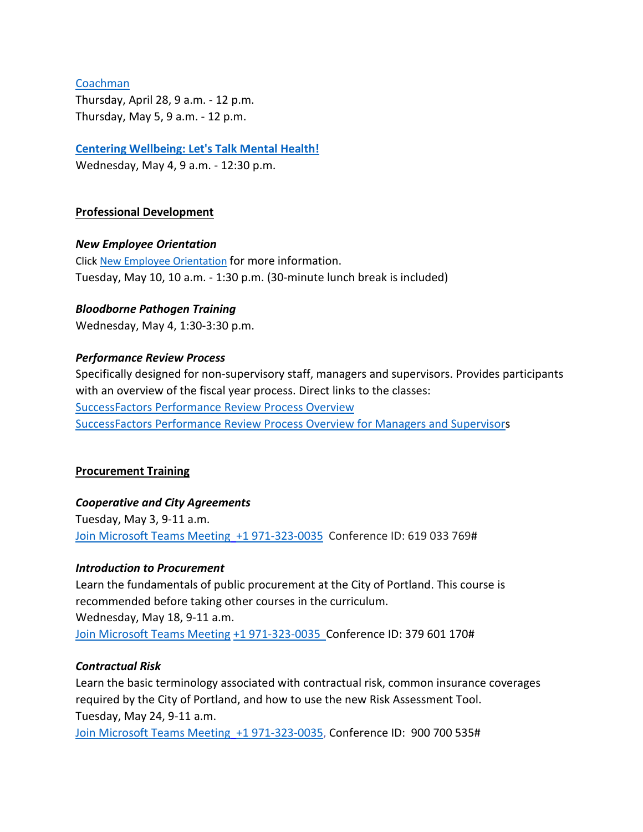#### [Coachman](https://www.pdx.edu/professional-education/profile/tia-coachman)

Thursday, April 28, 9 a.m. - 12 p.m. Thursday, May 5, 9 a.m. - 12 p.m.

## **[Centering Wellbeing: Let's Talk Mental Health!](https://performancemanager4.successfactors.com/sf/learning?destUrl=https%3a%2f%2fcityofport%2eplateau%2ecom%2flearning%2fuser%2fdeeplink%5fredirect%2ejsp%3flinkId%3dITEM%5fDETAILS%26componentID%3d30004%26componentTypeID%3dILT%26revisionDate%3d1625183220000%26fromSF%3dY&company=cityofport)**

Wednesday, May 4, 9 a.m. - 12:30 p.m.

#### **Professional Development**

#### *New Employee Orientation*

Click [New Employee Orientation](https://www.portlandoregon.gov/bhr/77721) for more information. Tuesday, May 10, 10 a.m. - 1:30 p.m. (30-minute lunch break is included)

## *Bloodborne Pathogen Training*

Wednesday, May 4, 1:30-3:30 p.m.

#### *Performance Review Process*

Specifically designed for non-supervisory staff, managers and supervisors. Provides participants with an overview of the fiscal year process. Direct links to the classes: [SuccessFactors Performance Review Process Overview](https://cityofport.plateau.com/learning/user/common/viewItemDetails.do?OWASP_CSRFTOKEN=DU90-LX7U-MJFA-R3RR-74UK-2I97-WO9L-P1RW&componentID=29037&componentTypeID=ELRN&fromSF=Y&revisionDate=1621295700000&menuGroup=Learning&menuItem=Cur&fromDeepLink=true&hideItemDetailsBackLink=true)  [SuccessFactors Performance Review Process Overview for Managers and Supervisors](https://sts.portlandoregon.gov/adfs/ls/?SAMLRequest=hZJPb9swDMW%2FisC7bUVL61SIU2QLigXYH7fxethlUGU6FSBLnig367ev7aRbd0mv0iPf449cXv9pLXvCQMa7AmYpB4ZO%2B9q4fQE%2FqptkAderJanWik6u%2B%2Fjo7vB3jxTZUOhIHn8K6IOTXpEh6VSLJKOWu%2FXXL1KkXHbBR6%2B9BbYZCo1TcTJ7jLEjmWUUKe18iFa52gfce5fu%2FVOm6oYySxmwGx80Tt4FNMoSAttuCvg1V3n90OirZJZ%2FwGTeIE%2BuLgRPxEWuZwKV5vnlICXqcesoKhcLEFyIhItELKpZLvlc8stULPhPYOUp5UfjjtOfG%2BnhKCL5uarKpPy%2Bq4Ddv1IcBHBiJif38BbW%2BcaKCMPIB1avfA6HQ0q91kjUKB19oFT7NtMmPvtmBLfM3nr93da3ofl2U3pr9DNbW%2BsPnwKqiAXE0OOEtVXxfJzxxdRJM0llN05IEV0EtivH%2Fre9sqYxGP6t8924kK1Oif%2B%2FqNUL&RelayState=%2Fsf%2Flearning%3FdestUrl%3Dhttps%253a%252f%252fcityofport%252eplateau%252ecom%252flearning%252fuser%252fdeeplink%255fredirect%252ejsp%253flinkId%253dITEM%255fDETAILS%2526componentID%253d29040%2526componentTypeID%253dELRN%2526revisionDate%253d1621298220000%2526fromSF%253dY&SigAlg=http%3A%2F%2Fwww.w3.org%2F2000%2F09%2Fxmldsig%23rsa-sha1&Signature=Nh05m6BdIM%2FxvyYo0XGgvYRymZoYM8duNho3YqhMrhB7dt0AJszl8HP9tMyr1Rm970uBY8qN1OK2VQ1DitXtL9X5kz06hi1lh1qU%2BNQBVJv%2F2mbWdoqb58FMYKiqv97cu9yMld0iUdw6Mkp%2FB1rVy%2F6nxhm7IUmo9suGPepTh6k%3D)

#### **Procurement Training**

#### *Cooperative and City Agreements*

Tuesday, May 3, 9-11 a.m. [Join Microsoft Teams Meeting](https://teams.microsoft.com/l/meetup-join/19%3ameeting_YTUwYjg0ODEtMTZiMS00ZmRlLThjODctZDE5NDdkNzg1ZTdh%40thread.v2/0?context=%7b%22Tid%22%3a%22636d7808-73c9-41a7-97aa-8c4733642141%22%2c%22Oid%22%3a%2286b2ae6e-2fe6-44ca-9974-4b60b2e2cd99%22%7d) [+1 971-323-0035](tel:+19713230035,,619033769) Conference ID: 619 033 769#

#### *Introduction to Procurement*

Learn the fundamentals of public procurement at the City of Portland. This course is recommended before taking other courses in the curriculum. Wednesday, May 18, 9-11 a.m. [Join Microsoft Teams Meeting](https://teams.microsoft.com/l/meetup-join/19%3ameeting_OWI3OGJlZDAtYTlhYS00ZWQ0LTkwNWYtOTM5YmZlYzI1MmIx%40thread.v2/0?context=%7b%22Tid%22%3a%22636d7808-73c9-41a7-97aa-8c4733642141%22%2c%22Oid%22%3a%2286b2ae6e-2fe6-44ca-9974-4b60b2e2cd99%22%7d) [+1 971-323-0035 C](tel:+19713230035,,379601170)onference ID: 379 601 170#

#### *Contractual Risk*

Learn the basic terminology associated with contractual risk, common insurance coverages required by the City of Portland, and how to use the new Risk Assessment Tool. Tuesday, May 24, 9-11 a.m. [Join Microsoft Teams Meeting](https://teams.microsoft.com/l/meetup-join/19%3ameeting_ZjhkNmE5Y2EtODgyZS00NGQ4LTkxZGEtMDY1ZTE4YzdlYmZh%40thread.v2/0?context=%7b%22Tid%22%3a%22636d7808-73c9-41a7-97aa-8c4733642141%22%2c%22Oid%22%3a%2286b2ae6e-2fe6-44ca-9974-4b60b2e2cd99%22%7d) [+1 971-323-0035,](tel:+19713230035,,900700535) Conference ID: 900 700 535#